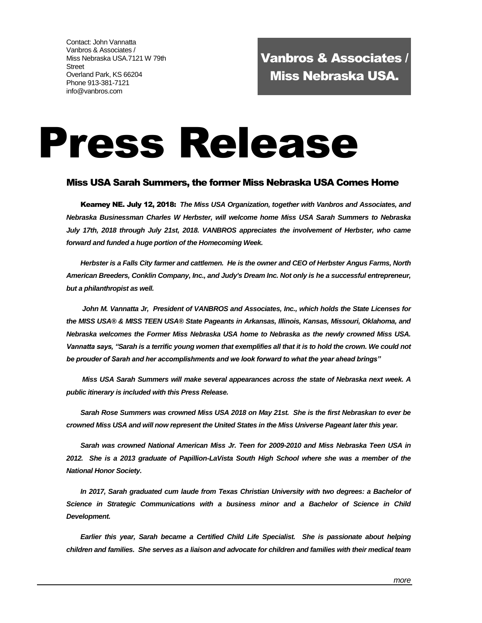Contact: John Vannatta Vanbros & Associates / Miss Nebraska USA.7121 W 79th Street Overland Park, KS 66204 Phone 913-381-7121 info@vanbros.com

Vanbros & Associates / Miss Nebraska USA.

# Press Release

# Miss USA Sarah Summers, the former Miss Nebraska USA Comes Home

Kearney NE. July 12, 2018: *The Miss USA Organization, together with Vanbros and Associates, and Nebraska Businessman Charles W Herbster, will welcome home Miss USA Sarah Summers to Nebraska July 17th, 2018 through July 21st, 2018. VANBROS appreciates the involvement of Herbster, who came forward and funded a huge portion of the Homecoming Week.* 

*Herbster is a Falls City farmer and cattlemen. He is the owner and CEO of Herbster Angus Farms, North American Breeders, Conklin Company, Inc., and Judy's Dream Inc. Not only is he a successful entrepreneur, but a philanthropist as well.*

*John M. Vannatta Jr, President of VANBROS and Associates, Inc., which holds the State Licenses for the MISS USA® & MISS TEEN USA® State Pageants in Arkansas, Illinois, Kansas, Missouri, Oklahoma, and Nebraska welcomes the Former Miss Nebraska USA home to Nebraska as the newly crowned Miss USA.*  Vannatta says, "Sarah is a terrific young women that exemplifies all that it is to hold the crown. We could not *be prouder of Sarah and her accomplishments and we look forward to what the year ahead brings"*

*Miss USA Sarah Summers will make several appearances across the state of Nebraska next week. A public itinerary is included with this Press Release.*

*Sarah Rose Summers was crowned Miss USA 2018 on May 21st. She is the first Nebraskan to ever be crowned Miss USA and will now represent the United States in the Miss Universe Pageant later this year.*

*Sarah was crowned National American Miss Jr. Teen for 2009-2010 and Miss Nebraska Teen USA in 2012. She is a 2013 graduate of Papillion-LaVista South High School where she was a member of the National Honor Society.*

*In 2017, Sarah graduated cum laude from Texas Christian University with two degrees: a Bachelor of Science in Strategic Communications with a business minor and a Bachelor of Science in Child Development.*

*Earlier this year, Sarah became a Certified Child Life Specialist. She is passionate about helping children and families. She serves as a liaison and advocate for children and families with their medical team*